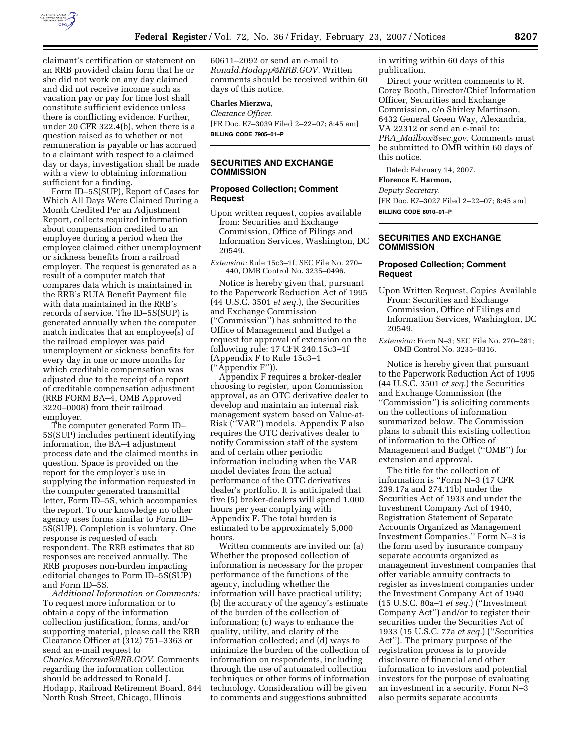

claimant's certification or statement on an RRB provided claim form that he or she did not work on any day claimed and did not receive income such as vacation pay or pay for time lost shall constitute sufficient evidence unless there is conflicting evidence. Further, under 20 CFR 322.4(b), when there is a question raised as to whether or not remuneration is payable or has accrued to a claimant with respect to a claimed day or days, investigation shall be made with a view to obtaining information sufficient for a finding.

Form ID–5S(SUP), Report of Cases for Which All Days Were Claimed During a Month Credited Per an Adjustment Report, collects required information about compensation credited to an employee during a period when the employee claimed either unemployment or sickness benefits from a railroad employer. The request is generated as a result of a computer match that compares data which is maintained in the RRB's RUIA Benefit Payment file with data maintained in the RRB's records of service. The ID–5S(SUP) is generated annually when the computer match indicates that an employee(s) of the railroad employer was paid unemployment or sickness benefits for every day in one or more months for which creditable compensation was adjusted due to the receipt of a report of creditable compensation adjustment (RRB FORM BA–4, OMB Approved 3220–0008) from their railroad employer.

The computer generated Form ID– 5S(SUP) includes pertinent identifying information, the BA–4 adjustment process date and the claimed months in question. Space is provided on the report for the employer's use in supplying the information requested in the computer generated transmittal letter, Form ID–5S, which accompanies the report. To our knowledge no other agency uses forms similar to Form ID– 5S(SUP). Completion is voluntary. One response is requested of each respondent. The RRB estimates that 80 responses are received annually. The RRB proposes non-burden impacting editorial changes to Form ID–5S(SUP) and Form ID–5S.

*Additional Information or Comments:*  To request more information or to obtain a copy of the information collection justification, forms, and/or supporting material, please call the RRB Clearance Officer at (312) 751–3363 or send an e-mail request to *Charles.Mierzwa@RRB.GOV*. Comments regarding the information collection should be addressed to Ronald J. Hodapp, Railroad Retirement Board, 844 North Rush Street, Chicago, Illinois

60611–2092 or send an e-mail to *Ronald.Hodapp@RRB.GOV.* Written comments should be received within 60 days of this notice.

# **Charles Mierzwa,**

*Clearance Officer.*  [FR Doc. E7–3039 Filed 2–22–07; 8:45 am] **BILLING CODE 7905–01–P** 

# **SECURITIES AND EXCHANGE COMMISSION**

#### **Proposed Collection; Comment Request**

Upon written request, copies available from: Securities and Exchange Commission, Office of Filings and Information Services, Washington, DC 20549.

*Extension:* Rule 15c3–1f, SEC File No. 270– 440, OMB Control No. 3235–0496.

Notice is hereby given that, pursuant to the Paperwork Reduction Act of 1995 (44 U.S.C. 3501 *et seq.*), the Securities and Exchange Commission (''Commission'') has submitted to the Office of Management and Budget a request for approval of extension on the following rule: 17 CFR 240.15c3–1f (Appendix F to Rule 15c3–1 (''Appendix F'')).

Appendix F requires a broker-dealer choosing to register, upon Commission approval, as an OTC derivative dealer to develop and maintain an internal risk management system based on Value-at-Risk (''VAR'') models. Appendix F also requires the OTC derivatives dealer to notify Commission staff of the system and of certain other periodic information including when the VAR model deviates from the actual performance of the OTC derivatives dealer's portfolio. It is anticipated that five (5) broker-dealers will spend 1,000 hours per year complying with Appendix F. The total burden is estimated to be approximately 5,000 hours.

Written comments are invited on: (a) Whether the proposed collection of information is necessary for the proper performance of the functions of the agency, including whether the information will have practical utility; (b) the accuracy of the agency's estimate of the burden of the collection of information; (c) ways to enhance the quality, utility, and clarity of the information collected; and (d) ways to minimize the burden of the collection of information on respondents, including through the use of automated collection techniques or other forms of information technology. Consideration will be given to comments and suggestions submitted

in writing within 60 days of this publication.

Direct your written comments to R. Corey Booth, Director/Chief Information Officer, Securities and Exchange Commission, c/o Shirley Martinson, 6432 General Green Way, Alexandria, VA 22312 or send an e-mail to: *PRA*\_*Mailbox@sec.gov*. Comments must be submitted to OMB within 60 days of this notice.

Dated: February 14, 2007.

#### **Florence E. Harmon,**

*Deputy Secretary.*  [FR Doc. E7–3027 Filed 2–22–07; 8:45 am] **BILLING CODE 8010–01–P** 

## **SECURITIES AND EXCHANGE COMMISSION**

#### **Proposed Collection; Comment Request**

- Upon Written Request, Copies Available From: Securities and Exchange Commission, Office of Filings and Information Services, Washington, DC 20549.
- *Extension:* Form N–3; SEC File No. 270–281; OMB Control No. 3235–0316.

Notice is hereby given that pursuant to the Paperwork Reduction Act of 1995 (44 U.S.C. 3501 *et seq.*) the Securities and Exchange Commission (the ''Commission'') is soliciting comments on the collections of information summarized below. The Commission plans to submit this existing collection of information to the Office of Management and Budget (''OMB'') for extension and approval.

The title for the collection of information is ''Form N–3 (17 CFR 239.17a and 274.11b) under the Securities Act of 1933 and under the Investment Company Act of 1940, Registration Statement of Separate Accounts Organized as Management Investment Companies.'' Form N–3 is the form used by insurance company separate accounts organized as management investment companies that offer variable annuity contracts to register as investment companies under the Investment Company Act of 1940 (15 U.S.C. 80a–1 *et seq.*) (''Investment Company Act'') and/or to register their securities under the Securities Act of 1933 (15 U.S.C. 77a *et seq.*) (''Securities Act''). The primary purpose of the registration process is to provide disclosure of financial and other information to investors and potential investors for the purpose of evaluating an investment in a security. Form N–3 also permits separate accounts